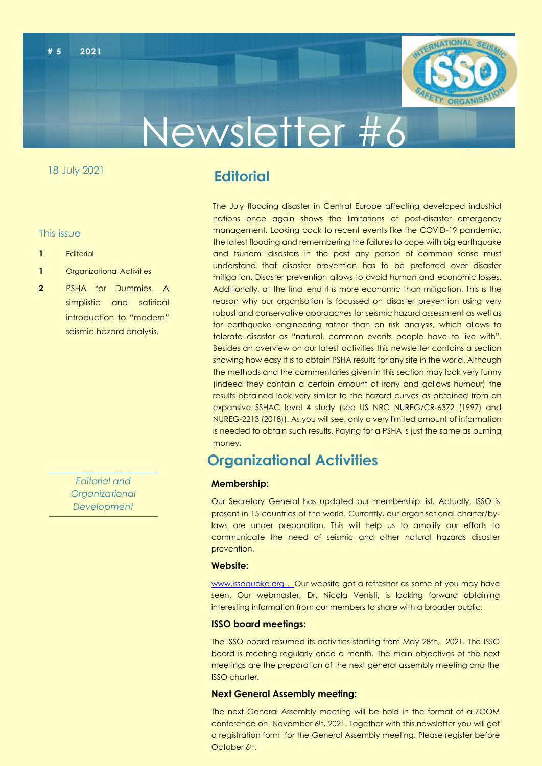



# Newsletter #6

#### 18 July 2021

## **Editorial**

This issue

- **1** Editorial
- **1** Organizational Activities
- **2** PSHA for Dummies. A simplistic and satirical introduction to "modern" seismic hazard analysis.

*Editorial and Organizational Development*

The July flooding disaster in Central Europe affecting developed industrial nations once again shows the limitations of post-disaster emergency management. Looking back to recent events like the COVID-19 pandemic, the latest flooding and remembering the failures to cope with big earthquake and tsunami disasters in the past any person of common sense must understand that disaster prevention has to be preferred over disaster mitigation. Disaster prevention allows to avoid human and economic losses. Additionally, at the final end it is more economic than mitigation. This is the reason why our organisation is focussed on disaster prevention using very robust and conservative approaches for seismic hazard assessment as well as for earthquake engineering rather than on risk analysis, which allows to tolerate disaster as "natural, common events people have to live with". Besides an overview on our latest activities this newsletter contains a section showing how easy it is to obtain PSHA results for any site in the world. Although the methods and the commentaries given in this section may look very funny (indeed they contain a certain amount of irony and gallows humour) the results obtained look very similar to the hazard curves as obtained from an expansive SSHAC level 4 study (see US NRC NUREG/CR-6372 (1997) and NUREG-2213 (2018)). As you will see, only a very limited amount of information is needed to obtain such results. Paying for a PSHA is just the same as burning money.

### **Organizational Activities**

#### **Membership:**

Our Secretary General has updated our membership list. Actually, ISSO is present in 15 countries of the world. Currently, our organisational charter/bylaws are under preparation. This will help us to amplify our efforts to communicate the need of seismic and other natural hazards disaster prevention.

#### **Website:**

[www.issoquake.org](http://www.issoquake.org/) . Our website got a refresher as some of you may have seen. Our webmaster, Dr. Nicola Venisti, is looking forward obtaining interesting information from our members to share with a broader public.

#### **ISSO board meetings:**

The ISSO board resumed its activities starting from May 28th, 2021. The ISSO board is meeting regularly once a month. The main objectives of the next meetings are the preparation of the next general assembly meeting and the ISSO charter.

#### **Next General Assembly meeting:**

The next General Assembly meeting will be hold in the format of a ZOOM conference on November 6th, 2021. Together with this newsletter you will get a registration form for the General Assembly meeting. Please register before October 6<sup>th</sup>.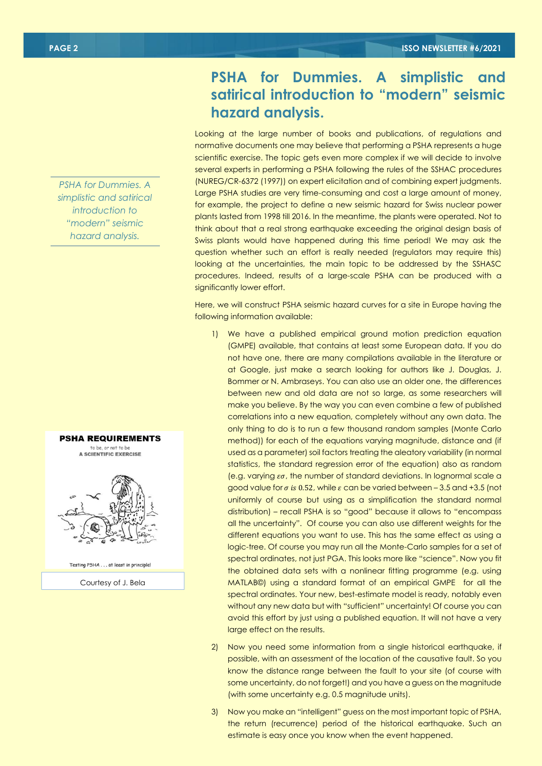*PSHA for Dummies. A simplistic and satirical introduction to "modern" seismic hazard analysis.*



to be, or not to be A SCIENTIFIC EXERCISE



Testing PSHA . . . at least in principle!

Courtesy of J. Bela

## **PSHA for Dummies. A simplistic and satirical introduction to "modern" seismic hazard analysis.**

Looking at the large number of books and publications, of regulations and normative documents one may believe that performing a PSHA represents a huge scientific exercise. The topic gets even more complex if we will decide to involve several experts in performing a PSHA following the rules of the SSHAC procedures (NUREG/CR-6372 (1997)) on expert elicitation and of combining expert judgments. Large PSHA studies are very time-consuming and cost a large amount of money, for example, the project to define a new seismic hazard for Swiss nuclear power plants lasted from 1998 till 2016. In the meantime, the plants were operated. Not to think about that a real strong earthquake exceeding the original design basis of Swiss plants would have happened during this time period! We may ask the question whether such an effort is really needed (regulators may require this) looking at the uncertainties, the main topic to be addressed by the SSHASC procedures. Indeed, results of a large-scale PSHA can be produced with a significantly lower effort.

Here, we will construct PSHA seismic hazard curves for a site in Europe having the following information available:

- 1) We have a published empirical ground motion prediction equation (GMPE) available, that contains at least some European data. If you do not have one, there are many compilations available in the literature or at Google, just make a search looking for authors like J. Douglas, J. Bommer or N. Ambraseys. You can also use an older one, the differences between new and old data are not so large, as some researchers will make you believe. By the way you can even combine a few of published correlations into a new equation, completely without any own data. The only thing to do is to run a few thousand random samples (Monte Carlo method)) for each of the equations varying magnitude, distance and (if used as a parameter) soil factors treating the aleatory variability (in normal statistics, the standard regression error of the equation) also as random (e.g. varying  $\epsilon\sigma$ , the number of standard deviations. In lognormal scale a agood value for  $\sigma$  is 0.52, while  $\varepsilon$  can be varied between – 3.5 and +3.5 (not uniformly of course but using as a simplification the standard normal distribution) – recall PSHA is so "good" because it allows to "encompass all the uncertainty". Of course you can also use different weights for the different equations you want to use. This has the same effect as using a logic-tree. Of course you may run all the Monte-Carlo samples for a set of spectral ordinates, not just PGA. This looks more like "science". Now you fit the obtained data sets with a nonlinear fitting programme (e.g. using MATLAB©) using a standard format of an empirical GMPE for all the spectral ordinates. Your new, best-estimate model is ready, notably even without any new data but with "sufficient" uncertainty! Of course you can avoid this effort by just using a published equation. It will not have a very large effect on the results.
- 2) Now you need some information from a single historical earthquake, if possible, with an assessment of the location of the causative fault. So you know the distance range between the fault to your site (of course with some uncertainty, do not forget!) and you have a guess on the magnitude (with some uncertainty e.g. 0.5 magnitude units).
- 3) Now you make an "intelligent" guess on the most important topic of PSHA, the return (recurrence) period of the historical earthquake. Such an estimate is easy once you know when the event happened.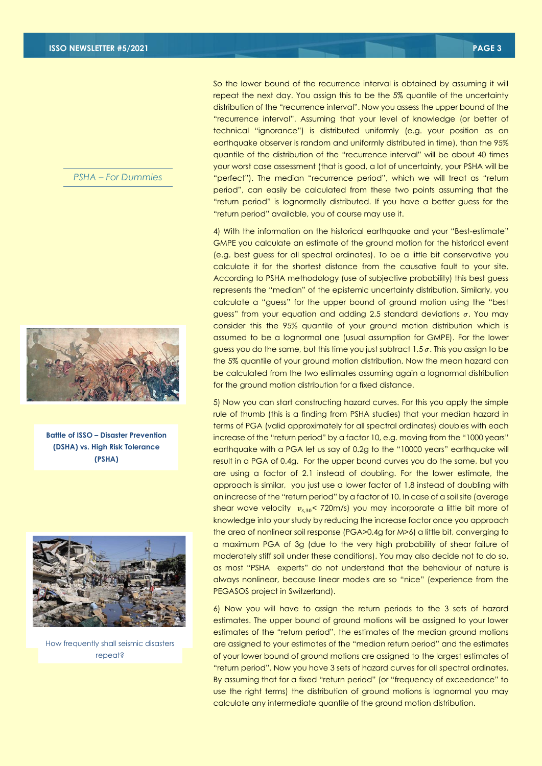#### *PSHA – For Dummies*



**Battle of ISSO – Disaster Prevention (DSHA) vs. High Risk Tolerance (PSHA)**



How frequently shall seismic disasters repeat?

So the lower bound of the recurrence interval is obtained by assuming it will repeat the next day. You assign this to be the 5% quantile of the uncertainty distribution of the "recurrence interval". Now you assess the upper bound of the "recurrence interval". Assuming that your level of knowledge (or better of technical "ignorance") is distributed uniformly (e.g. your position as an earthquake observer is random and uniformly distributed in time), than the 95% quantile of the distribution of the "recurrence interval" will be about 40 times your worst case assessment (that is good, a lot of uncertainty, your PSHA will be "perfect"). The median "recurrence period", which we will treat as "return period", can easily be calculated from these two points assuming that the "return period" is lognormally distributed. If you have a better guess for the "return period" available, you of course may use it.

4) With the information on the historical earthquake and your "Best-estimate" GMPE you calculate an estimate of the ground motion for the historical event (e.g. best guess for all spectral ordinates). To be a little bit conservative you calculate it for the shortest distance from the causative fault to your site. According to PSHA methodology (use of subjective probability) this best guess represents the "median" of the epistemic uncertainty distribution. Similarly, you calculate a "guess" for the upper bound of ground motion using the "best guess" from your equation and adding 2.5 standard deviations  $\sigma$ . You may consider this the 95% quantile of your ground motion distribution which is assumed to be a lognormal one (usual assumption for GMPE). For the lower guess you do the same, but this time you just subtract 1.5  $\sigma$ . This you assign to be the 5% quantile of your ground motion distribution. Now the mean hazard can be calculated from the two estimates assuming again a lognormal distribution for the ground motion distribution for a fixed distance.

5) Now you can start constructing hazard curves. For this you apply the simple rule of thumb (this is a finding from PSHA studies) that your median hazard in terms of PGA (valid approximately for all spectral ordinates) doubles with each increase of the "return period" by a factor 10, e.g. moving from the "1000 years" earthquake with a PGA let us say of 0.2g to the "10000 years" earthquake will result in a PGA of 0.4g. For the upper bound curves you do the same, but you are using a factor of 2.1 instead of doubling. For the lower estimate, the approach is similar, you just use a lower factor of 1.8 instead of doubling with an increase of the "return period" by a factor of 10. In case of a soil site (average shear wave velocity  $v_{s,30}$ < 720m/s) you may incorporate a little bit more of knowledge into your study by reducing the increase factor once you approach the area of nonlinear soil response (PGA>0.4g for M>6) a little bit, converging to a maximum PGA of 3g (due to the very high probability of shear failure of moderately stiff soil under these conditions). You may also decide not to do so, as most "PSHA experts" do not understand that the behaviour of nature is always nonlinear, because linear models are so "nice" (experience from the PEGASOS project in Switzerland).

6) Now you will have to assign the return periods to the 3 sets of hazard estimates. The upper bound of ground motions will be assigned to your lower estimates of the "return period", the estimates of the median ground motions are assigned to your estimates of the "median return period" and the estimates of your lower bound of ground motions are assigned to the largest estimates of "return period". Now you have 3 sets of hazard curves for all spectral ordinates. By assuming that for a fixed "return period" (or "frequency of exceedance" to use the right terms) the distribution of ground motions is lognormal you may calculate any intermediate quantile of the ground motion distribution.